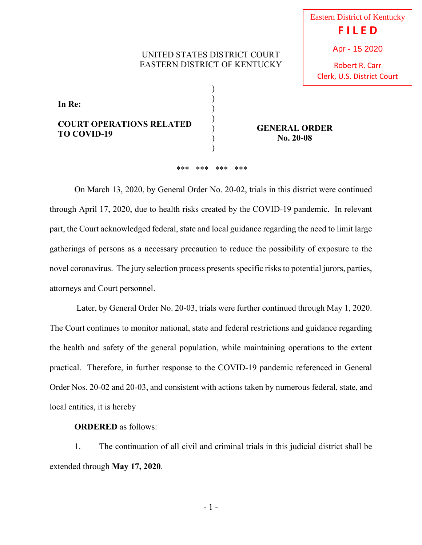## UNITED STATES DISTRICT COURT EASTERN DISTRICT OF KENTUCKY

Robert R. Carr Clerk, U.S. District Court

**In Re: COURT OPERATIONS RELATED TO COVID-19**  ) ) ) ) ) )

**GENERAL ORDER No. 20-08**

## \*\*\* \*\*\* \*\*\* \*\*\*

)

 On March 13, 2020, by General Order No. 20-02, trials in this district were continued through April 17, 2020, due to health risks created by the COVID-19 pandemic. In relevant part, the Court acknowledged federal, state and local guidance regarding the need to limit large gatherings of persons as a necessary precaution to reduce the possibility of exposure to the novel coronavirus. The jury selection process presents specific risks to potential jurors, parties, attorneys and Court personnel.

 Later, by General Order No. 20-03, trials were further continued through May 1, 2020. The Court continues to monitor national, state and federal restrictions and guidance regarding the health and safety of the general population, while maintaining operations to the extent practical. Therefore, in further response to the COVID-19 pandemic referenced in General Order Nos. 20-02 and 20-03, and consistent with actions taken by numerous federal, state, and local entities, it is hereby

## **ORDERED** as follows:

 1. The continuation of all civil and criminal trials in this judicial district shall be extended through **May 17, 2020**.

- 1 -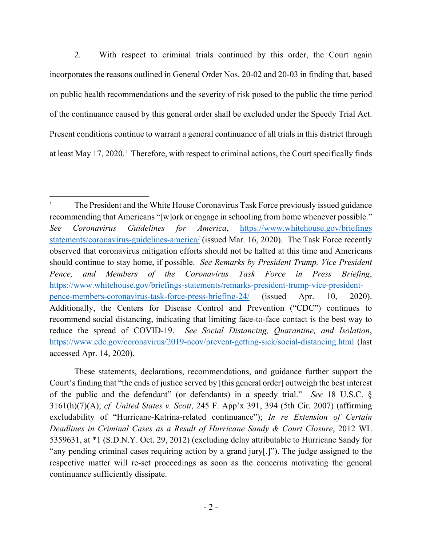2. With respect to criminal trials continued by this order, the Court again incorporates the reasons outlined in General Order Nos. 20-02 and 20-03 in finding that, based on public health recommendations and the severity of risk posed to the public the time period of the continuance caused by this general order shall be excluded under the Speedy Trial Act. Present conditions continue to warrant a general continuance of all trials in this district through at least May 17, 2020.<sup>1</sup> Therefore, with respect to criminal actions, the Court specifically finds

<sup>1</sup> The President and the White House Coronavirus Task Force previously issued guidance recommending that Americans "[w]ork or engage in schooling from home whenever possible." *See Coronavirus Guidelines for America*, https://www.whitehouse.gov/briefings statements/coronavirus-guidelines-america/ (issued Mar. 16, 2020). The Task Force recently observed that coronavirus mitigation efforts should not be halted at this time and Americans should continue to stay home, if possible. *See Remarks by President Trump, Vice President Pence, and Members of the Coronavirus Task Force in Press Briefing*, https://www.whitehouse.gov/briefings-statements/remarks-president-trump-vice-presidentpence-members-coronavirus-task-force-press-briefing-24/ (issued Apr. 10, 2020). Additionally, the Centers for Disease Control and Prevention ("CDC") continues to recommend social distancing, indicating that limiting face-to-face contact is the best way to reduce the spread of COVID-19. *See Social Distancing, Quarantine, and Isolation*, https://www.cdc.gov/coronavirus/2019-ncov/prevent-getting-sick/social-distancing.html (last accessed Apr. 14, 2020).

These statements, declarations, recommendations, and guidance further support the Court's finding that "the ends of justice served by [this general order] outweigh the best interest of the public and the defendant" (or defendants) in a speedy trial." *See* 18 U.S.C. § 3161(h)(7)(A); *cf. United States v. Scott*, 245 F. App'x 391, 394 (5th Cir. 2007) (affirming excludability of "Hurricane-Katrina-related continuance"); *In re Extension of Certain Deadlines in Criminal Cases as a Result of Hurricane Sandy & Court Closure*, 2012 WL 5359631, at \*1 (S.D.N.Y. Oct. 29, 2012) (excluding delay attributable to Hurricane Sandy for "any pending criminal cases requiring action by a grand jury[.]"). The judge assigned to the respective matter will re-set proceedings as soon as the concerns motivating the general continuance sufficiently dissipate.